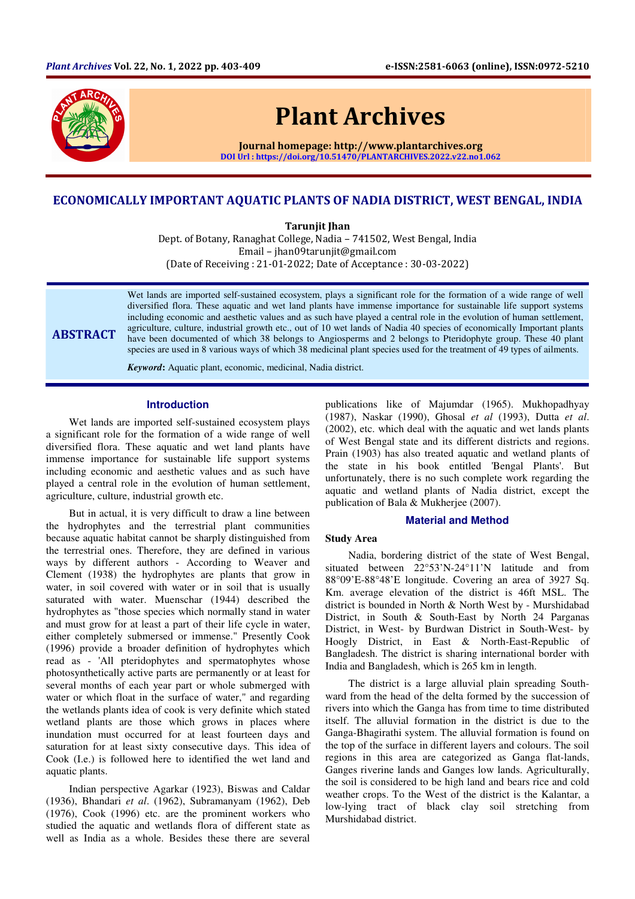

# Plant Archives

Journal homepage: http://www.plantarchives.org DOI Url : https://doi.org/10.51470/PLANTARCHIVES.2022.v22.no1.062

# ECONOMICALLY IMPORTANT AQUATIC PLANTS OF NADIA DISTRICT, WEST BENGAL, INDIA

Tarunjit Jhan

Dept. of Botany, Ranaghat College, Nadia – 741502, West Bengal, India Email – jhan09tarunjit@gmail.com (Date of Receiving : 21-01-2022; Date of Acceptance : 30-03-2022)

ABSTRACT

Wet lands are imported self-sustained ecosystem, plays a significant role for the formation of a wide range of well diversified flora. These aquatic and wet land plants have immense importance for sustainable life support systems including economic and aesthetic values and as such have played a central role in the evolution of human settlement, agriculture, culture, industrial growth etc., out of 10 wet lands of Nadia 40 species of economically Important plants have been documented of which 38 belongs to Angiosperms and 2 belongs to Pteridophyte group. These 40 plant species are used in 8 various ways of which 38 medicinal plant species used for the treatment of 49 types of ailments.

*Keyword***:** Aquatic plant, economic, medicinal, Nadia district.

## **Introduction**

Wet lands are imported self-sustained ecosystem plays a significant role for the formation of a wide range of well diversified flora. These aquatic and wet land plants have immense importance for sustainable life support systems including economic and aesthetic values and as such have played a central role in the evolution of human settlement, agriculture, culture, industrial growth etc.

But in actual, it is very difficult to draw a line between the hydrophytes and the terrestrial plant communities because aquatic habitat cannot be sharply distinguished from the terrestrial ones. Therefore, they are defined in various ways by different authors - According to Weaver and Clement (1938) the hydrophytes are plants that grow in water, in soil covered with water or in soil that is usually saturated with water. Muenschar (1944) described the hydrophytes as "those species which normally stand in water and must grow for at least a part of their life cycle in water, either completely submersed or immense." Presently Cook (1996) provide a broader definition of hydrophytes which read as - 'All pteridophytes and spermatophytes whose photosynthetically active parts are permanently or at least for several months of each year part or whole submerged with water or which float in the surface of water," and regarding the wetlands plants idea of cook is very definite which stated wetland plants are those which grows in places where inundation must occurred for at least fourteen days and saturation for at least sixty consecutive days. This idea of Cook (I.e.) is followed here to identified the wet land and aquatic plants.

Indian perspective Agarkar (1923), Biswas and Caldar (1936), Bhandari *et al*. (1962), Subramanyam (1962), Deb (1976), Cook (1996) etc. are the prominent workers who studied the aquatic and wetlands flora of different state as well as India as a whole. Besides these there are several

publications like of Majumdar (1965). Mukhopadhyay (1987), Naskar (1990), Ghosal *et al* (1993), Dutta *et al*. (2002), etc. which deal with the aquatic and wet lands plants of West Bengal state and its different districts and regions. Prain (1903) has also treated aquatic and wetland plants of the state in his book entitled 'Bengal Plants'. But unfortunately, there is no such complete work regarding the aquatic and wetland plants of Nadia district, except the publication of Bala & Mukherjee (2007).

## **Material and Method**

# **Study Area**

Nadia, bordering district of the state of West Bengal, situated between 22°53'N-24°11'N latitude and from 88°09'E-88°48'E longitude. Covering an area of 3927 Sq. Km. average elevation of the district is 46ft MSL. The district is bounded in North & North West by - Murshidabad District, in South & South-East by North 24 Parganas District, in West- by Burdwan District in South-West- by Hoogly District, in East & North-East-Republic of Bangladesh. The district is sharing international border with India and Bangladesh, which is 265 km in length.

The district is a large alluvial plain spreading Southward from the head of the delta formed by the succession of rivers into which the Ganga has from time to time distributed itself. The alluvial formation in the district is due to the Ganga-Bhagirathi system. The alluvial formation is found on the top of the surface in different layers and colours. The soil regions in this area are categorized as Ganga flat-lands, Ganges riverine lands and Ganges low lands. Agriculturally, the soil is considered to be high land and bears rice and cold weather crops. To the West of the district is the Kalantar, a low-lying tract of black clay soil stretching from Murshidabad district.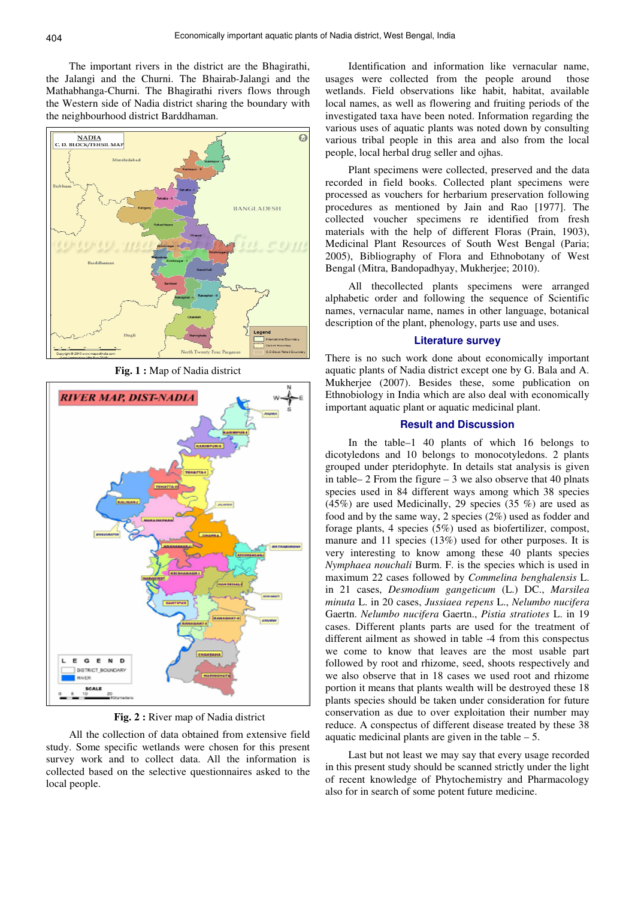The important rivers in the district are the Bhagirathi, the Jalangi and the Churni. The Bhairab-Jalangi and the Mathabhanga-Churni. The Bhagirathi rivers flows through the Western side of Nadia district sharing the boundary with the neighbourhood district Barddhaman.



**Fig. 1 :** Map of Nadia district



**Fig. 2 :** River map of Nadia district

All the collection of data obtained from extensive field study. Some specific wetlands were chosen for this present survey work and to collect data. All the information is collected based on the selective questionnaires asked to the local people.

Identification and information like vernacular name, usages were collected from the people around those wetlands. Field observations like habit, habitat, available local names, as well as flowering and fruiting periods of the investigated taxa have been noted. Information regarding the various uses of aquatic plants was noted down by consulting various tribal people in this area and also from the local people, local herbal drug seller and ojhas.

Plant specimens were collected, preserved and the data recorded in field books. Collected plant specimens were processed as vouchers for herbarium preservation following procedures as mentioned by Jain and Rao [1977]. The collected voucher specimens re identified from fresh materials with the help of different Floras (Prain, 1903), Medicinal Plant Resources of South West Bengal (Paria; 2005), Bibliography of Flora and Ethnobotany of West Bengal (Mitra, Bandopadhyay, Mukherjee; 2010).

All thecollected plants specimens were arranged alphabetic order and following the sequence of Scientific names, vernacular name, names in other language, botanical description of the plant, phenology, parts use and uses.

#### **Literature survey**

There is no such work done about economically important aquatic plants of Nadia district except one by G. Bala and A. Mukherjee (2007). Besides these, some publication on Ethnobiology in India which are also deal with economically important aquatic plant or aquatic medicinal plant.

#### **Result and Discussion**

In the table–1 40 plants of which 16 belongs to dicotyledons and 10 belongs to monocotyledons. 2 plants grouped under pteridophyte. In details stat analysis is given in table–  $2$  From the figure –  $3$  we also observe that 40 plnats species used in 84 different ways among which 38 species (45%) are used Medicinally, 29 species (35%) are used as food and by the same way, 2 species (2%) used as fodder and forage plants, 4 species (5%) used as biofertilizer, compost, manure and 11 species (13%) used for other purposes. It is very interesting to know among these 40 plants species *Nymphaea nouchali* Burm. F. is the species which is used in maximum 22 cases followed by *Commelina benghalensis* L. in 21 cases, *Desmodium gangeticum* (L.) DC., *Marsilea minuta* L. in 20 cases, *Jussiaea repens* L., *Nelumbo nucifera*  Gaertn. *Nelumbo nucifera* Gaertn., *Pistia stratiotes* L. in 19 cases. Different plants parts are used for the treatment of different ailment as showed in table -4 from this conspectus we come to know that leaves are the most usable part followed by root and rhizome, seed, shoots respectively and we also observe that in 18 cases we used root and rhizome portion it means that plants wealth will be destroyed these 18 plants species should be taken under consideration for future conservation as due to over exploitation their number may reduce. A conspectus of different disease treated by these 38 aquatic medicinal plants are given in the table  $-5$ .

Last but not least we may say that every usage recorded in this present study should be scanned strictly under the light of recent knowledge of Phytochemistry and Pharmacology also for in search of some potent future medicine.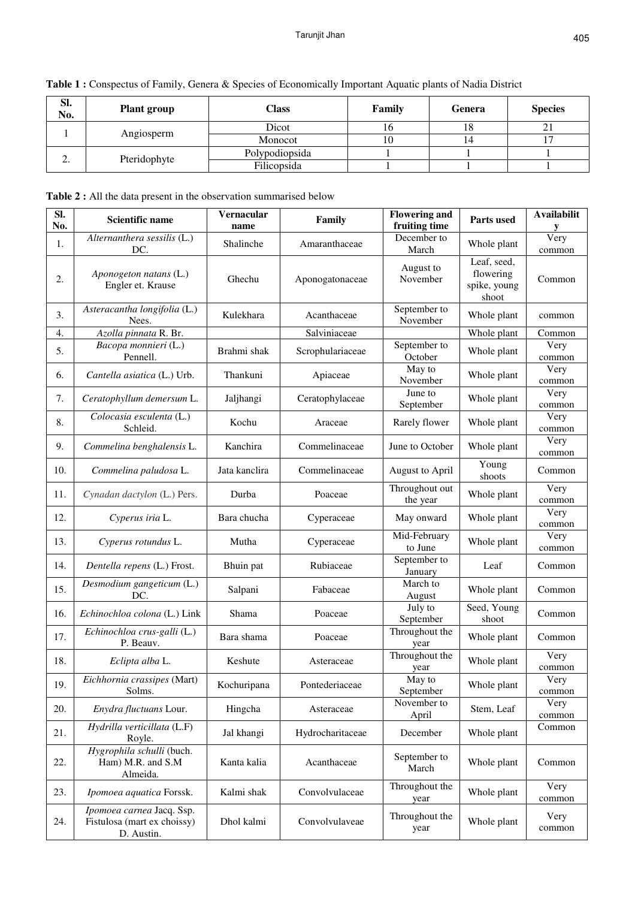| able 1 : Conspectus of Family, Genera & Species of Economically Important Aquatic plants of Nadia District |                    |                |        |        |                |
|------------------------------------------------------------------------------------------------------------|--------------------|----------------|--------|--------|----------------|
| -SI.<br>No.                                                                                                | <b>Plant group</b> | <b>Class</b>   | Family | Genera | <b>Species</b> |
|                                                                                                            |                    | Dicot          | 16     | 18     |                |
|                                                                                                            | Angiosperm         | Monocot        |        | 14     |                |
|                                                                                                            |                    | Polypodiopsida |        |        |                |
|                                                                                                            | Pteridophyte       | Filicopsida    |        |        |                |

**Table 1 :** Conspectus of Family, Genera & Species of Economically Important Aquatic plants of Nadia District

**Table 2 :** All the data present in the observation summarised below

| SI.<br>No. | <b>Scientific name</b>                                                 | Vernacular<br>name | Family           | <b>Flowering and</b><br>fruiting time | Parts used                                        | <b>Availabilit</b><br>y. |
|------------|------------------------------------------------------------------------|--------------------|------------------|---------------------------------------|---------------------------------------------------|--------------------------|
| 1.         | Alternanthera sessilis (L.)<br>DC.                                     | Shalinche          | Amaranthaceae    | December to<br>March                  | Whole plant                                       | Very<br>common           |
| 2.         | Aponogeton natans (L.)<br>Engler et. Krause                            | Ghechu             | Aponogatonaceae  | August to<br>November                 | Leaf, seed,<br>flowering<br>spike, young<br>shoot | Common                   |
| 3.         | Asteracantha longifolia (L.)<br>Nees.                                  | Kulekhara          | Acanthaceae      | September to<br>November              | Whole plant                                       | common                   |
| 4.         | Azolla pinnata R. Br.                                                  |                    | Salviniaceae     |                                       | Whole plant                                       | Common                   |
| 5.         | Bacopa monnieri (L.)<br>Pennell.                                       | Brahmi shak        | Scrophulariaceae | September to<br>October               | Whole plant                                       | Very<br>common           |
| 6.         | Cantella asiatica (L.) Urb.                                            | Thankuni           | Apiaceae         | May to<br>November                    | Whole plant                                       | Very<br>common           |
| 7.         | Ceratophyllum demersum L.                                              | Jaljhangi          | Ceratophylaceae  | June to<br>September                  | Whole plant                                       | Very<br>common           |
| 8.         | Colocasia esculenta (L.)<br>Schleid.                                   | Kochu              | Araceae          | Rarely flower                         | Whole plant                                       | Very<br>common           |
| 9.         | Commelina benghalensis L.                                              | Kanchira           | Commelinaceae    | June to October                       | Whole plant                                       | Very<br>common           |
| 10.        | Commelina paludosa L.                                                  | Jata kanclira      | Commelinaceae    | August to April                       | Young<br>shoots                                   | Common                   |
| 11.        | Cynadan dactylon (L.) Pers.                                            | Durba              | Poaceae          | Throughout out<br>the year            | Whole plant                                       | Very<br>common           |
| 12.        | Cyperus iria L.                                                        | Bara chucha        | Cyperaceae       | May onward                            | Whole plant                                       | Very<br>common           |
| 13.        | Cyperus rotundus L.                                                    | Mutha              | Cyperaceae       | Mid-February<br>to June               | Whole plant                                       | Very<br>common           |
| 14.        | Dentella repens (L.) Frost.                                            | Bhuin pat          | Rubiaceae        | September to<br>January               | Leaf                                              | Common                   |
| 15.        | Desmodium gangeticum (L.)<br>DC.                                       | Salpani            | Fabaceae         | March to<br>August                    | Whole plant                                       | Common                   |
| 16.        | Echinochloa colona (L.) Link                                           | Shama              | Poaceae          | July to<br>September                  | Seed, Young<br>shoot                              | Common                   |
| 17.        | Echinochloa crus-galli (L.)<br>P. Beauv.                               | Bara shama         | Poaceae          | Throughout the<br>year                | Whole plant                                       | Common                   |
| 18.        | Eclipta alba L.                                                        | Keshute            | Asteraceae       | Throughout the<br>year                | Whole plant                                       | Very<br>common           |
| 19.        | Eichhornia crassipes (Mart)<br>Solms.                                  | Kochuripana        | Pontederiaceae   | May to<br>September                   | Whole plant                                       | Very<br>common           |
| 20.        | Enydra fluctuans Lour.                                                 | Hingcha            | Asteraceae       | November to<br>April                  | Stem, Leaf                                        | Very<br>common           |
| 21.        | Hydrilla verticillata (L.F)<br>Royle.                                  | Jal khangi         | Hydrocharitaceae | December                              | Whole plant                                       | Common                   |
| 22.        | Hygrophila schulli (buch.<br>Ham) M.R. and S.M<br>Almeida.             | Kanta kalia        | Acanthaceae      | September to<br>March                 | Whole plant                                       | Common                   |
| 23.        | Ipomoea aquatica Forssk.                                               | Kalmi shak         | Convolvulaceae   | Throughout the<br>year                | Whole plant                                       | Very<br>common           |
| 24.        | Ipomoea carnea Jacq. Ssp.<br>Fistulosa (mart ex choissy)<br>D. Austin. | Dhol kalmi         | Convolvulaveae   | Throughout the<br>year                | Whole plant                                       | Very<br>common           |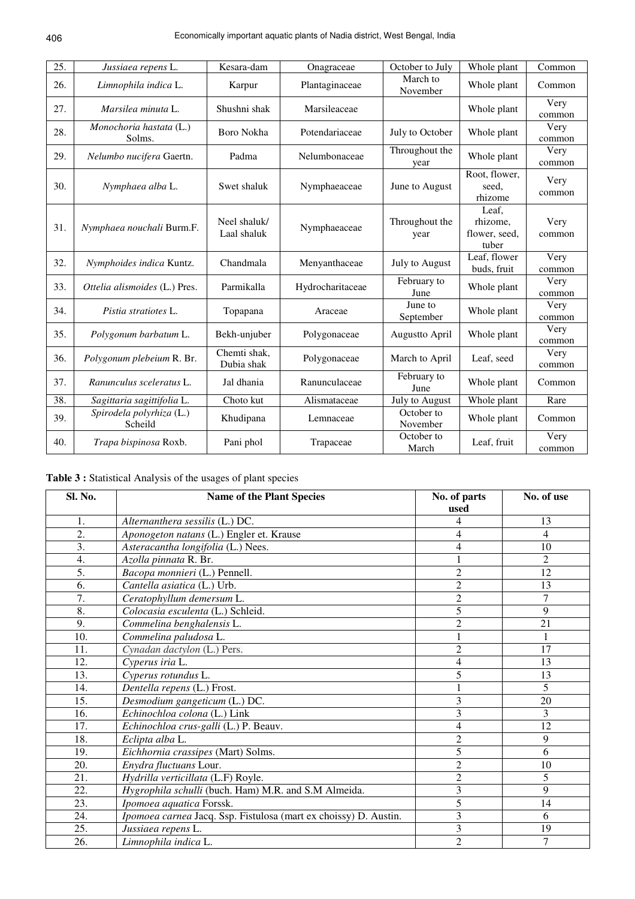| 25. | Jussiaea repens L.                  | Kesara-dam                  | Onagraceae       | October to July        | Whole plant                                 | Common         |
|-----|-------------------------------------|-----------------------------|------------------|------------------------|---------------------------------------------|----------------|
| 26. | Limnophila indica L.                | Karpur                      | Plantaginaceae   | March to<br>November   | Whole plant                                 | Common         |
| 27. | Marsilea minuta L.                  | Shushni shak                | Marsileaceae     |                        | Whole plant                                 | Very<br>common |
| 28. | Monochoria hastata (L.)<br>Solms.   | Boro Nokha                  | Potendariaceae   | July to October        | Whole plant                                 | Very<br>common |
| 29. | Nelumbo nucifera Gaertn.            | Padma                       | Nelumbonaceae    | Throughout the<br>year | Whole plant                                 | Very<br>common |
| 30. | Nymphaea alba L.                    | Swet shaluk                 | Nymphaeaceae     | June to August         | Root, flower,<br>seed,<br>rhizome           | Very<br>common |
| 31. | Nymphaea nouchali Burm.F.           | Neel shaluk/<br>Laal shaluk | Nymphaeaceae     | Throughout the<br>year | Leaf.<br>rhizome,<br>flower, seed,<br>tuber | Very<br>common |
| 32. | Nymphoides indica Kuntz.            | Chandmala                   | Menyanthaceae    | July to August         | Leaf, flower<br>buds, fruit                 | Very<br>common |
| 33. | Ottelia alismoides (L.) Pres.       | Parmikalla                  | Hydrocharitaceae | February to<br>June    | Whole plant                                 | Very<br>common |
| 34. | Pistia stratiotes L.                | Topapana                    | Araceae          | June to<br>September   | Whole plant                                 | Very<br>common |
| 35. | Polygonum barbatum L.               | Bekh-unjuber                | Polygonaceae     | Augustto April         | Whole plant                                 | Very<br>common |
| 36. | Polygonum plebeium R. Br.           | Chemti shak,<br>Dubia shak  | Polygonaceae     | March to April         | Leaf, seed                                  | Very<br>common |
| 37. | Ranunculus sceleratus L.            | Jal dhania                  | Ranunculaceae    | February to<br>June    | Whole plant                                 | Common         |
| 38. | Sagittaria sagittifolia L.          | Choto kut                   | Alismataceae     | July to August         | Whole plant                                 | Rare           |
| 39. | Spirodela polyrhiza (L.)<br>Scheild | Khudipana                   | Lemnaceae        | October to<br>November | Whole plant                                 | Common         |
| 40. | Trapa bispinosa Roxb.               | Pani phol                   | Trapaceae        | October to<br>March    | Leaf, fruit                                 | Very<br>common |

**Table 3 :** Statistical Analysis of the usages of plant species

| Sl. No.          | <b>Name of the Plant Species</b>                                 | No. of parts<br>used     | No. of use     |
|------------------|------------------------------------------------------------------|--------------------------|----------------|
| 1.               | Alternanthera sessilis (L.) DC.                                  | 4                        | 13             |
| 2.               | Aponogeton natans (L.) Engler et. Krause                         | 4                        | 4              |
| 3.               | Asteracantha longifolia (L.) Nees.                               | $\overline{\mathcal{L}}$ | 10             |
| $\overline{4}$ . | Azolla pinnata R. Br.                                            |                          | $\overline{2}$ |
| 5.               | Bacopa monnieri (L.) Pennell.                                    | $\overline{2}$           | 12             |
| 6.               | Cantella asiatica (L.) Urb.                                      | $\overline{c}$           | 13             |
| $\overline{7}$ . | Ceratophyllum demersum L.                                        | $\overline{c}$           | 7              |
| 8.               | Colocasia esculenta (L.) Schleid.                                | 5                        | 9              |
| 9.               | Commelina benghalensis L.                                        | $\overline{c}$           | 21             |
| 10.              | Commelina paludosa L.                                            | $\mathbf{1}$             | $\mathbf{1}$   |
| 11.              | Cynadan dactylon (L.) Pers.                                      | $\overline{2}$           | 17             |
| 12.              | Cyperus iria L.                                                  | 4                        | 13             |
| 13.              | Cyperus rotundus L.                                              | 5                        | 13             |
| 14.              | Dentella repens (L.) Frost.                                      |                          | 5              |
| 15.              | Desmodium gangeticum (L.) DC.                                    | 3                        | 20             |
| 16.              | Echinochloa colona (L.) Link                                     | 3                        | 3              |
| 17.              | Echinochloa crus-galli (L.) P. Beauv.                            | $\overline{4}$           | 12             |
| 18.              | Eclipta alba L.                                                  | $\overline{c}$           | 9              |
| 19.              | Eichhornia crassipes (Mart) Solms.                               | 5                        | 6              |
| 20.              | Enydra fluctuans Lour.                                           | $\overline{2}$           | 10             |
| 21.              | Hydrilla verticillata (L.F) Royle.                               | $\overline{c}$           | 5              |
| 22.              | Hygrophila schulli (buch. Ham) M.R. and S.M Almeida.             | 3                        | 9              |
| 23.              | Ipomoea aquatica Forssk.                                         | 5                        | 14             |
| 24.              | Ipomoea carnea Jacq. Ssp. Fistulosa (mart ex choissy) D. Austin. | 3                        | 6              |
| 25.              | Jussiaea repens L.                                               | 3                        | 19             |
| 26.              | Limnophila indica L.                                             | $\overline{2}$           | $\overline{7}$ |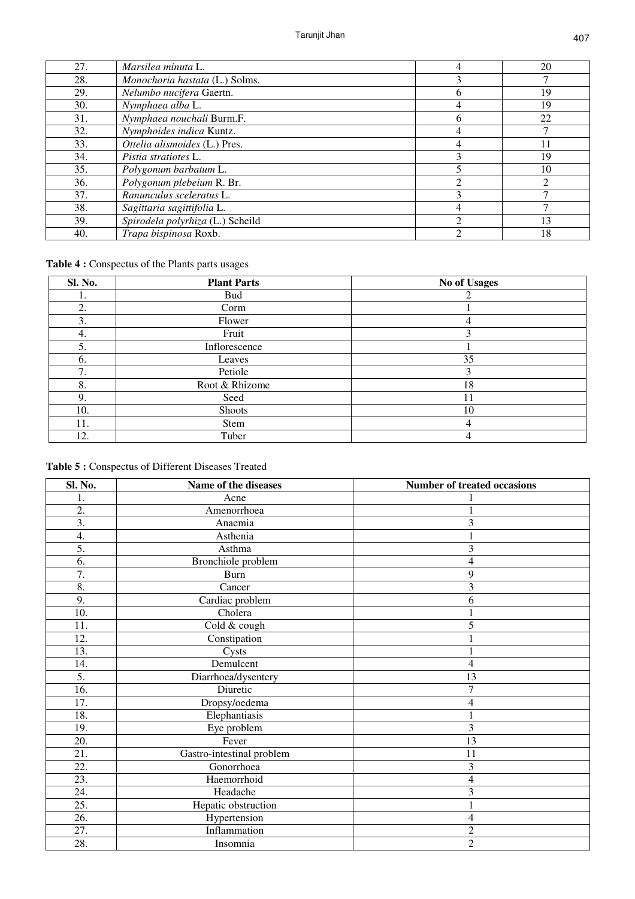| 27. | <i>Marsilea minuta L.</i>        | 4              | 20 |
|-----|----------------------------------|----------------|----|
| 28. | Monochoria hastata (L.) Solms.   | 3              |    |
| 29. | Nelumbo nucifera Gaertn.         | <sub>0</sub>   | 19 |
| 30. | Nymphaea alba L.                 | 4              | 19 |
| 31. | Nymphaea nouchali Burm.F.        | 6              | 22 |
| 32. | Nymphoides indica Kuntz.         | 4              |    |
| 33. | Ottelia alismoides (L.) Pres.    | 4              |    |
| 34. | <i>Pistia stratiotes</i> L.      | 3              | 19 |
| 35. | Polygonum barbatum L.            |                | 10 |
| 36. | Polygonum plebeium R. Br.        | ∍              | ↑  |
| 37. | Ranunculus sceleratus L.         | 3              |    |
| 38. | Sagittaria sagittifolia L.       | 4              |    |
| 39. | Spirodela polyrhiza (L.) Scheild | $\mathfrak{D}$ | 13 |
| 40. | Trapa bispinosa Roxb.            | ◠              | 18 |

# **Table 4 :** Conspectus of the Plants parts usages

| <b>Sl. No.</b> | <b>Plant Parts</b> | No of Usages |
|----------------|--------------------|--------------|
| ı.             | <b>Bud</b>         |              |
| 2.             | Corm               |              |
| 3.             | Flower             |              |
| 4.             | Fruit              | 3            |
| 5.             | Inflorescence      |              |
| 6.             | Leaves             | 35           |
| 7<br>ι.        | Petiole            | 3            |
| 8.             | Root & Rhizome     | 18           |
| 9.             | Seed               | 11           |
| 10.            | Shoots             | 10           |
| 11.            | Stem               | 4            |
| 12.            | Tuber              |              |

# **Table 5 :** Conspectus of Different Diseases Treated

| Sl. No.          | Name of the diseases      | Number of treated occasions |
|------------------|---------------------------|-----------------------------|
| 1.               | Acne                      |                             |
| 2.               | Amenorrhoea               |                             |
| $\overline{3}$ . | Anaemia                   | 3                           |
| 4.               | Asthenia                  | $\mathbf{1}$                |
| 5.               | Asthma                    | 3                           |
| 6.               | Bronchiole problem        | 4                           |
| 7.               | <b>Burn</b>               | 9                           |
| 8.               | Cancer                    | 3                           |
| 9.               | Cardiac problem           | 6                           |
| 10.              | Cholera                   |                             |
| 11.              | Cold & cough              | 5                           |
| 12.              | Constipation              | 1                           |
| 13.              | Cysts                     | $\mathbf{1}$                |
| 14.              | Demulcent                 | 4                           |
| 5.               | Diarrhoea/dysentery       | 13                          |
| 16.              | Diuretic                  | $\overline{7}$              |
| 17.              | Dropsy/oedema             | 4                           |
| 18.              | Elephantiasis             | $\mathbf{1}$                |
| 19.              | Eye problem               | $\overline{3}$              |
| 20.              | Fever                     | 13                          |
| 21.              | Gastro-intestinal problem | 11                          |
| 22.              | Gonorrhoea                | 3                           |
| 23.              | Haemorrhoid               | 4                           |
| 24.              | Headache                  | 3                           |
| 25.              | Hepatic obstruction       |                             |
| 26.              | Hypertension              | $\overline{4}$              |
| 27.              | Inflammation              | $\overline{2}$              |
| 28.              | Insomnia                  | $\overline{2}$              |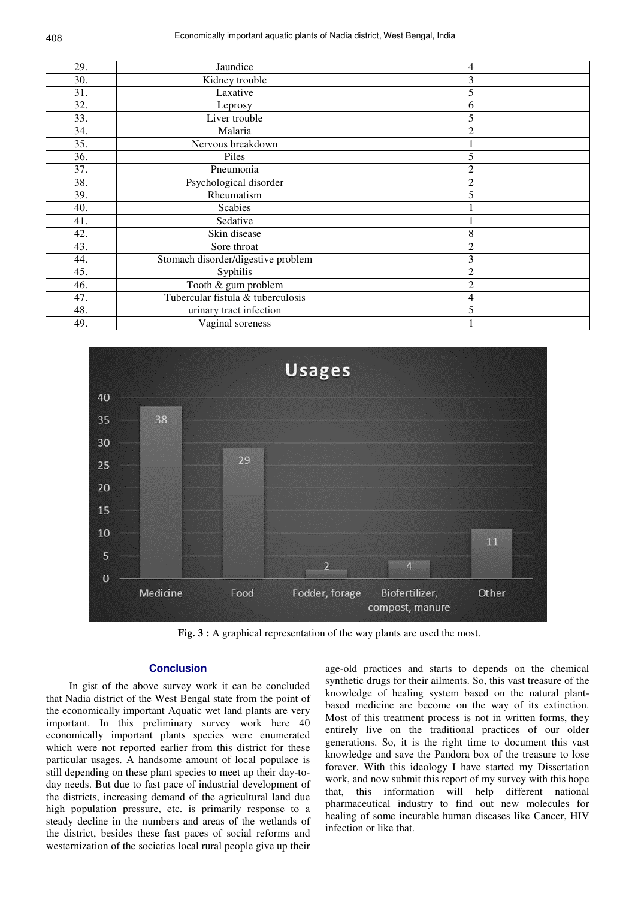| 29. | Jaundice                           | 4              |
|-----|------------------------------------|----------------|
| 30. | Kidney trouble                     | 3              |
| 31. | Laxative                           | 5              |
| 32. | Leprosy                            | 6              |
| 33. | Liver trouble                      | 5              |
| 34. | Malaria                            | $\overline{2}$ |
| 35. | Nervous breakdown                  |                |
| 36. | Piles                              | 5              |
| 37. | Pneumonia                          | $\overline{c}$ |
| 38. | Psychological disorder             | $\overline{c}$ |
| 39. | Rheumatism                         | 5              |
| 40. | <b>Scabies</b>                     |                |
| 41. | Sedative                           |                |
| 42. | Skin disease                       | 8              |
| 43. | Sore throat                        | $\overline{c}$ |
| 44. | Stomach disorder/digestive problem | 3              |
| 45. | Syphilis                           | $\overline{c}$ |
| 46. | Tooth & gum problem                | $\overline{2}$ |
| 47. | Tubercular fistula & tuberculosis  | 4              |
| 48. | urinary tract infection            | 5              |
| 49. | Vaginal soreness                   |                |



**Fig. 3 :** A graphical representation of the way plants are used the most.

## **Conclusion**

In gist of the above survey work it can be concluded that Nadia district of the West Bengal state from the point of the economically important Aquatic wet land plants are very important. In this preliminary survey work here 40 economically important plants species were enumerated which were not reported earlier from this district for these particular usages. A handsome amount of local populace is still depending on these plant species to meet up their day-today needs. But due to fast pace of industrial development of the districts, increasing demand of the agricultural land due high population pressure, etc. is primarily response to a steady decline in the numbers and areas of the wetlands of the district, besides these fast paces of social reforms and westernization of the societies local rural people give up their

age-old practices and starts to depends on the chemical synthetic drugs for their ailments. So, this vast treasure of the knowledge of healing system based on the natural plantbased medicine are become on the way of its extinction. Most of this treatment process is not in written forms, they entirely live on the traditional practices of our older generations. So, it is the right time to document this vast knowledge and save the Pandora box of the treasure to lose forever. With this ideology I have started my Dissertation work, and now submit this report of my survey with this hope that, this information will help different national pharmaceutical industry to find out new molecules for healing of some incurable human diseases like Cancer, HIV infection or like that.